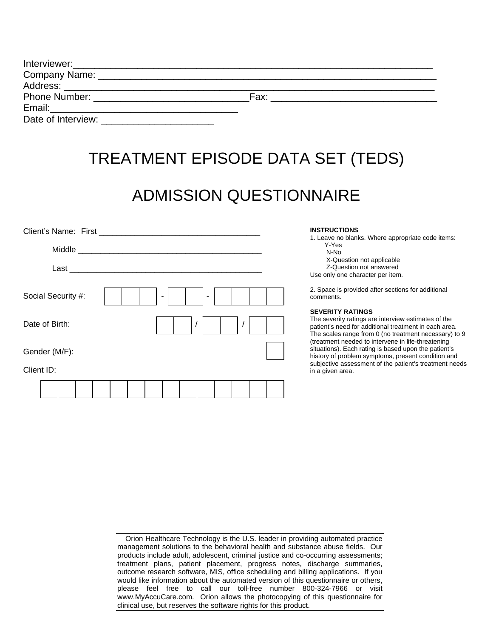|                                                                                                                                                                                                                                | Fax: |  |
|--------------------------------------------------------------------------------------------------------------------------------------------------------------------------------------------------------------------------------|------|--|
|                                                                                                                                                                                                                                |      |  |
| Date of Interview: Network and the state of the state of the state of the state of the state of the state of the state of the state of the state of the state of the state of the state of the state of the state of the state |      |  |

# TREATMENT EPISODE DATA SET (TEDS)

# ADMISSION QUESTIONNAIRE

| Client's Name: First |  |  |  |  |  | <b>INSTRUCTIONS</b><br>1. Leave no blanks. Where appropriate code items:                                                                                                                         |
|----------------------|--|--|--|--|--|--------------------------------------------------------------------------------------------------------------------------------------------------------------------------------------------------|
| Middle               |  |  |  |  |  | Y-Yes<br>N-No                                                                                                                                                                                    |
| Last                 |  |  |  |  |  | X-Question not applicable<br>Z-Question not answered<br>Use only one character per item.                                                                                                         |
| Social Security #:   |  |  |  |  |  | 2. Space is provided after sections for additional<br>comments.                                                                                                                                  |
| Date of Birth:       |  |  |  |  |  | <b>SEVERITY RATINGS</b><br>The severity ratings are interview estimates of the<br>patient's need for additional treatment in each area.<br>The scales range from 0 (no treatment necessary) to 9 |
| Gender (M/F):        |  |  |  |  |  | (treatment needed to intervene in life-threatening<br>situations). Each rating is based upon the patient's<br>history of problem symptoms, present condition and                                 |
| Client ID:           |  |  |  |  |  | subjective assessment of the patient's treatment needs<br>in a given area.                                                                                                                       |
|                      |  |  |  |  |  |                                                                                                                                                                                                  |

| Orion Healthcare Technology is the U.S. leader in providing automated practice      |
|-------------------------------------------------------------------------------------|
| management solutions to the behavioral health and substance abuse fields. Our       |
| products include adult, adolescent, criminal justice and co-occurring assessments;  |
| treatment plans, patient placement, progress notes, discharge summaries,            |
| outcome research software, MIS, office scheduling and billing applications. If you  |
| would like information about the automated version of this questionnaire or others, |
| please feel free to call our toll-free number 800-324-7966 or visit                 |
| www.MyAccuCare.com. Orion allows the photocopying of this questionnaire for         |
| clinical use, but reserves the software rights for this product.                    |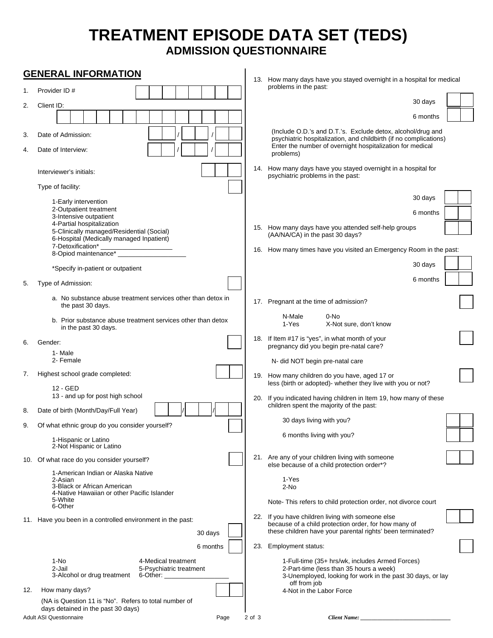## **TREATMENT EPISODE DATA SET (TEDS) ADMISSION QUESTIONNAIRE**

|          | <b>GENERAL INFORMATION</b>                                                                                                                   |        |                                                                                                                                                                                                            |
|----------|----------------------------------------------------------------------------------------------------------------------------------------------|--------|------------------------------------------------------------------------------------------------------------------------------------------------------------------------------------------------------------|
| 1.       | Provider ID#                                                                                                                                 |        | 13. How many days have you stayed overnight in a hospital for medical<br>problems in the past:                                                                                                             |
| 2.       | Client ID:                                                                                                                                   |        | 30 days                                                                                                                                                                                                    |
|          |                                                                                                                                              |        | 6 months                                                                                                                                                                                                   |
| 3.<br>4. | Date of Admission:<br>Date of Interview:                                                                                                     |        | (Include O.D.'s and D.T.'s. Exclude detox, alcohol/drug and<br>psychiatric hospitalization, and childbirth (if no complications)<br>Enter the number of overnight hospitalization for medical<br>problems) |
|          | Interviewer's initials:                                                                                                                      |        | 14. How many days have you stayed overnight in a hospital for<br>psychiatric problems in the past:                                                                                                         |
|          | Type of facility:                                                                                                                            |        |                                                                                                                                                                                                            |
|          | 1-Early intervention<br>2-Outpatient treatment                                                                                               |        | 30 days                                                                                                                                                                                                    |
|          | 3-Intensive outpatient<br>4-Partial hospitalization<br>5-Clinically managed/Residential (Social)<br>6-Hospital (Medically managed Inpatient) |        | 6 months<br>15. How many days have you attended self-help groups<br>(AA/NA/CA) in the past 30 days?                                                                                                        |
|          | 7-Detoxification*<br>8-Opiod maintenance*                                                                                                    |        | 16. How many times have you visited an Emergency Room in the past:                                                                                                                                         |
|          | *Specify in-patient or outpatient                                                                                                            |        | 30 days                                                                                                                                                                                                    |
| 5.       | Type of Admission:                                                                                                                           |        | 6 months                                                                                                                                                                                                   |
|          | a. No substance abuse treatment services other than detox in<br>the past 30 days.                                                            |        | 17. Pregnant at the time of admission?                                                                                                                                                                     |
|          | b. Prior substance abuse treatment services other than detox<br>in the past 30 days.                                                         |        | N-Male<br>0-No<br>1-Yes<br>X-Not sure, don't know                                                                                                                                                          |
| 6.       | Gender:                                                                                                                                      |        | 18. If Item #17 is "yes", in what month of your<br>pregnancy did you begin pre-natal care?                                                                                                                 |
|          | 1- Male<br>2- Female                                                                                                                         |        | N- did NOT begin pre-natal care                                                                                                                                                                            |
| 7.       | Highest school grade completed:<br>12 - GED                                                                                                  |        | 19. How many children do you have, aged 17 or<br>less (birth or adopted)- whether they live with you or not?                                                                                               |
|          | 13 - and up for post high school                                                                                                             |        | 20. If you indicated having children in Item 19, how many of these<br>children spent the majority of the past:                                                                                             |
| 8.       | Date of birth (Month/Day/Full Year)                                                                                                          |        | 30 days living with you?                                                                                                                                                                                   |
| 9.       | Of what ethnic group do you consider yourself?<br>1-Hispanic or Latino                                                                       |        | 6 months living with you?                                                                                                                                                                                  |
|          | 2-Not Hispanic or Latino                                                                                                                     |        |                                                                                                                                                                                                            |
|          | 10. Of what race do you consider yourself?                                                                                                   |        | 21. Are any of your children living with someone<br>else because of a child protection order*?                                                                                                             |
|          | 1-American Indian or Alaska Native<br>2-Asian<br>3-Black or African American<br>4-Native Hawaiian or other Pacific Islander                  |        | 1-Yes<br>2-No                                                                                                                                                                                              |
|          | 5-White<br>6-Other                                                                                                                           |        | Note-This refers to child protection order, not divorce court                                                                                                                                              |
|          | 11. Have you been in a controlled environment in the past:<br>30 days                                                                        |        | 22. If you have children living with someone else<br>because of a child protection order, for how many of<br>these children have your parental rights' been terminated?                                    |
|          | 6 months                                                                                                                                     |        | 23. Employment status:                                                                                                                                                                                     |
|          | 1-No<br>4-Medical treatment<br>2-Jail<br>5-Psychiatric treatment<br>3-Alcohol or drug treatment<br>6-Other:                                  |        | 1-Full-time (35+ hrs/wk, includes Armed Forces)<br>2-Part-time (less than 35 hours a week)<br>3-Unemployed, looking for work in the past 30 days, or lay<br>off from job                                   |
| 12.      | How many days?                                                                                                                               |        | 4-Not in the Labor Force                                                                                                                                                                                   |
|          | (NA is Question 11 is "No". Refers to total number of<br>days detained in the past 30 days)<br><b>Adult ASI Questionnaire</b><br>Page        | 2 of 3 | <b>Client Name:</b>                                                                                                                                                                                        |